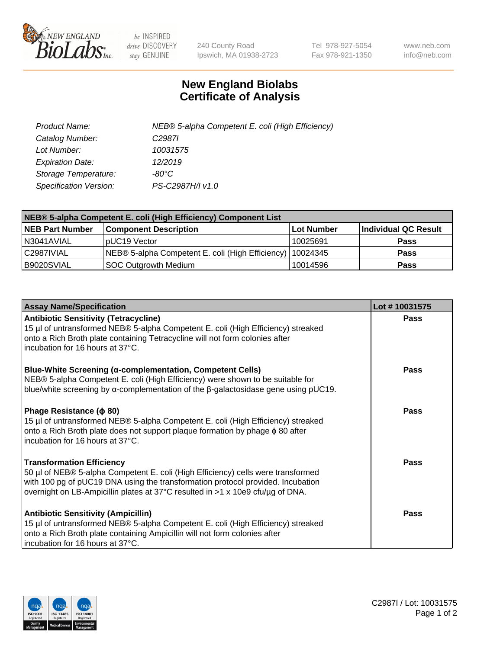

 $be$  INSPIRED drive DISCOVERY stay GENUINE

240 County Road Ipswich, MA 01938-2723 Tel 978-927-5054 Fax 978-921-1350 www.neb.com info@neb.com

## **New England Biolabs Certificate of Analysis**

| Product Name:           | NEB® 5-alpha Competent E. coli (High Efficiency) |
|-------------------------|--------------------------------------------------|
| Catalog Number:         | C <sub>2987</sub>                                |
| Lot Number:             | 10031575                                         |
| <b>Expiration Date:</b> | 12/2019                                          |
| Storage Temperature:    | -80°C                                            |
| Specification Version:  | PS-C2987H/I v1.0                                 |

| NEB® 5-alpha Competent E. coli (High Efficiency) Component List |                                                             |            |                      |  |
|-----------------------------------------------------------------|-------------------------------------------------------------|------------|----------------------|--|
| <b>NEB Part Number</b>                                          | <b>Component Description</b>                                | Lot Number | Individual QC Result |  |
| N3041AVIAL                                                      | pUC19 Vector                                                | 10025691   | Pass                 |  |
| C2987IVIAL                                                      | NEB® 5-alpha Competent E. coli (High Efficiency)   10024345 |            | <b>Pass</b>          |  |
| B9020SVIAL                                                      | <b>SOC Outgrowth Medium</b>                                 | 10014596   | <b>Pass</b>          |  |

| <b>Assay Name/Specification</b>                                                                                                                                                                                                                                                           | Lot #10031575 |
|-------------------------------------------------------------------------------------------------------------------------------------------------------------------------------------------------------------------------------------------------------------------------------------------|---------------|
| <b>Antibiotic Sensitivity (Tetracycline)</b><br>15 µl of untransformed NEB® 5-alpha Competent E. coli (High Efficiency) streaked<br>onto a Rich Broth plate containing Tetracycline will not form colonies after<br>incubation for 16 hours at 37°C.                                      | Pass          |
| <b>Blue-White Screening (α-complementation, Competent Cells)</b><br>NEB® 5-alpha Competent E. coli (High Efficiency) were shown to be suitable for<br>blue/white screening by $\alpha$ -complementation of the $\beta$ -galactosidase gene using pUC19.                                   | Pass          |
| Phage Resistance ( $\phi$ 80)<br>15 µl of untransformed NEB® 5-alpha Competent E. coli (High Efficiency) streaked<br>onto a Rich Broth plate does not support plaque formation by phage $\phi$ 80 after<br>incubation for 16 hours at 37°C.                                               | Pass          |
| <b>Transformation Efficiency</b><br>50 µl of NEB® 5-alpha Competent E. coli (High Efficiency) cells were transformed<br>with 100 pg of pUC19 DNA using the transformation protocol provided. Incubation<br>overnight on LB-Ampicillin plates at 37°C resulted in >1 x 10e9 cfu/µg of DNA. | Pass          |
| <b>Antibiotic Sensitivity (Ampicillin)</b><br>15 µl of untransformed NEB® 5-alpha Competent E. coli (High Efficiency) streaked<br>onto a Rich Broth plate containing Ampicillin will not form colonies after<br>incubation for 16 hours at 37°C.                                          | Pass          |